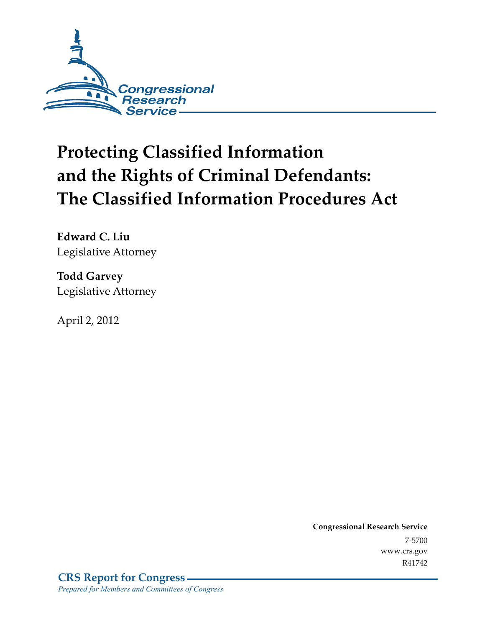

# **Protecting Classified Information and the Rights of Criminal Defendants: The Classified Information Procedures Act**

**Edward C. Liu**  Legislative Attorney

**Todd Garvey**  Legislative Attorney

April 2, 2012

**Congressional Research Service**  7-5700 www.crs.gov R41742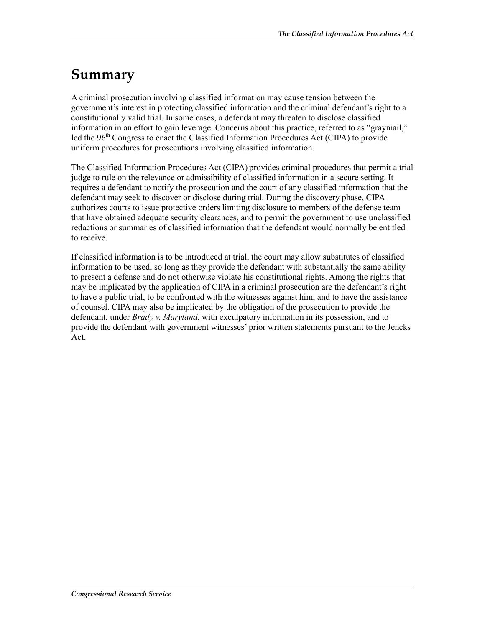## **Summary**

A criminal prosecution involving classified information may cause tension between the government's interest in protecting classified information and the criminal defendant's right to a constitutionally valid trial. In some cases, a defendant may threaten to disclose classified information in an effort to gain leverage. Concerns about this practice, referred to as "graymail," led the 96<sup>th</sup> Congress to enact the Classified Information Procedures Act (CIPA) to provide uniform procedures for prosecutions involving classified information.

The Classified Information Procedures Act (CIPA) provides criminal procedures that permit a trial judge to rule on the relevance or admissibility of classified information in a secure setting. It requires a defendant to notify the prosecution and the court of any classified information that the defendant may seek to discover or disclose during trial. During the discovery phase, CIPA authorizes courts to issue protective orders limiting disclosure to members of the defense team that have obtained adequate security clearances, and to permit the government to use unclassified redactions or summaries of classified information that the defendant would normally be entitled to receive.

If classified information is to be introduced at trial, the court may allow substitutes of classified information to be used, so long as they provide the defendant with substantially the same ability to present a defense and do not otherwise violate his constitutional rights. Among the rights that may be implicated by the application of CIPA in a criminal prosecution are the defendant's right to have a public trial, to be confronted with the witnesses against him, and to have the assistance of counsel. CIPA may also be implicated by the obligation of the prosecution to provide the defendant, under *Brady v. Maryland*, with exculpatory information in its possession, and to provide the defendant with government witnesses' prior written statements pursuant to the Jencks Act.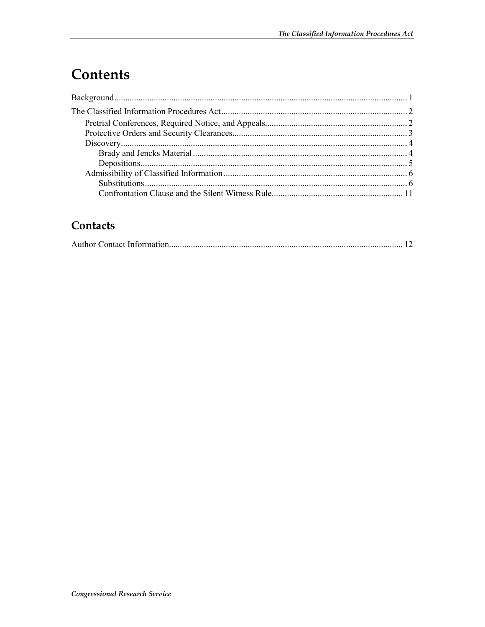## **Contents**

## Contacts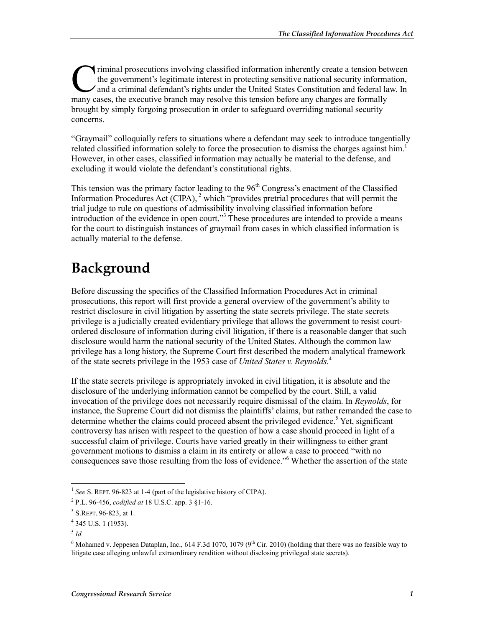riminal prosecutions involving classified information inherently create a tension between the government's legitimate interest in protecting sensitive national security information, and a criminal defendant's rights under the United States Constitution and federal law. In Triminal prosecutions involving classified information inherently create a tension bet<br>the government's legitimate interest in protecting sensitive national security informated<br>and a criminal defendant's rights under the U brought by simply forgoing prosecution in order to safeguard overriding national security concerns.

"Graymail" colloquially refers to situations where a defendant may seek to introduce tangentially related classified information solely to force the prosecution to dismiss the charges against him.<sup>1</sup> However, in other cases, classified information may actually be material to the defense, and excluding it would violate the defendant's constitutional rights.

This tension was the primary factor leading to the  $96<sup>th</sup>$  Congress's enactment of the Classified Information Procedures Act (CIPA), <sup>2</sup> which "provides pretrial procedures that will permit the trial judge to rule on questions of admissibility involving classified information before introduction of the evidence in open court."<sup>3</sup> These procedures are intended to provide a means for the court to distinguish instances of graymail from cases in which classified information is actually material to the defense.

## **Background**

Before discussing the specifics of the Classified Information Procedures Act in criminal prosecutions, this report will first provide a general overview of the government's ability to restrict disclosure in civil litigation by asserting the state secrets privilege. The state secrets privilege is a judicially created evidentiary privilege that allows the government to resist courtordered disclosure of information during civil litigation, if there is a reasonable danger that such disclosure would harm the national security of the United States. Although the common law privilege has a long history, the Supreme Court first described the modern analytical framework of the state secrets privilege in the 1953 case of *United States v. Reynolds.*<sup>4</sup>

If the state secrets privilege is appropriately invoked in civil litigation, it is absolute and the disclosure of the underlying information cannot be compelled by the court. Still, a valid invocation of the privilege does not necessarily require dismissal of the claim. In *Reynolds*, for instance, the Supreme Court did not dismiss the plaintiffs' claims, but rather remanded the case to determine whether the claims could proceed absent the privileged evidence.<sup>5</sup> Yet, significant controversy has arisen with respect to the question of how a case should proceed in light of a successful claim of privilege. Courts have varied greatly in their willingness to either grant government motions to dismiss a claim in its entirety or allow a case to proceed "with no consequences save those resulting from the loss of evidence."<sup>6</sup> Whether the assertion of the state

<sup>1</sup> <sup>1</sup> *See* S. REPT. 96-823 at 1-4 (part of the legislative history of CIPA).

<sup>2</sup> P.L. 96-456, *codified at* 18 U.S.C. app. 3 §1-16.

<sup>&</sup>lt;sup>3</sup> S.REPT. 96-823, at 1.

<sup>4</sup> 345 U.S. 1 (1953).

<sup>5</sup> *Id.* 

<sup>&</sup>lt;sup>6</sup> Mohamed v. Jeppesen Dataplan, Inc., 614 F.3d 1070, 1079 (9<sup>th</sup> Cir. 2010) (holding that there was no feasible way to litigate case alleging unlawful extraordinary rendition without disclosing privileged state secrets).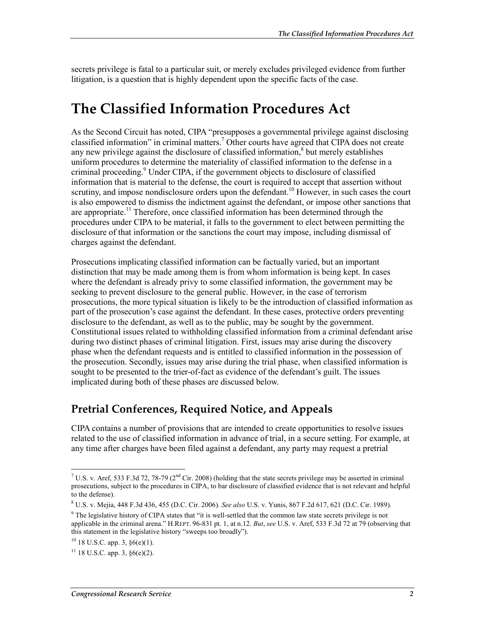secrets privilege is fatal to a particular suit, or merely excludes privileged evidence from further litigation, is a question that is highly dependent upon the specific facts of the case.

## **The Classified Information Procedures Act**

As the Second Circuit has noted, CIPA "presupposes a governmental privilege against disclosing classified information" in criminal matters.<sup>7</sup> Other courts have agreed that CIPA does not create any new privilege against the disclosure of classified information, $\frac{8}{3}$  but merely establishes uniform procedures to determine the materiality of classified information to the defense in a criminal proceeding.<sup>9</sup> Under CIPA, if the government objects to disclosure of classified information that is material to the defense, the court is required to accept that assertion without scrutiny, and impose nondisclosure orders upon the defendant.<sup>10</sup> However, in such cases the court is also empowered to dismiss the indictment against the defendant, or impose other sanctions that are appropriate.<sup>11</sup> Therefore, once classified information has been determined through the procedures under CIPA to be material, it falls to the government to elect between permitting the disclosure of that information or the sanctions the court may impose, including dismissal of charges against the defendant.

Prosecutions implicating classified information can be factually varied, but an important distinction that may be made among them is from whom information is being kept. In cases where the defendant is already privy to some classified information, the government may be seeking to prevent disclosure to the general public. However, in the case of terrorism prosecutions, the more typical situation is likely to be the introduction of classified information as part of the prosecution's case against the defendant. In these cases, protective orders preventing disclosure to the defendant, as well as to the public, may be sought by the government. Constitutional issues related to withholding classified information from a criminal defendant arise during two distinct phases of criminal litigation. First, issues may arise during the discovery phase when the defendant requests and is entitled to classified information in the possession of the prosecution. Secondly, issues may arise during the trial phase, when classified information is sought to be presented to the trier-of-fact as evidence of the defendant's guilt. The issues implicated during both of these phases are discussed below.

### **Pretrial Conferences, Required Notice, and Appeals**

CIPA contains a number of provisions that are intended to create opportunities to resolve issues related to the use of classified information in advance of trial, in a secure setting. For example, at any time after charges have been filed against a defendant, any party may request a pretrial

<sup>&</sup>lt;sup>7</sup> U.S. v. Aref, 533 F.3d 72, 78-79 (2<sup>nd</sup> Cir. 2008) (holding that the state secrets privilege may be asserted in criminal prosecutions, subject to the procedures in CIPA, to bar disclosure of classified evidence that is not relevant and helpful to the defense).

<sup>8</sup> U.S. v. Mejia, 448 F.3d 436, 455 (D.C. Cir. 2006). *See also* U.S. v. Yunis, 867 F.2d 617, 621 (D.C. Cir. 1989).

<sup>&</sup>lt;sup>9</sup> The legislative history of CIPA states that "it is well-settled that the common law state secrets privilege is not applicable in the criminal arena." H.REPT. 96-831 pt. 1, at n.12. *But*, *see* U.S. v. Aref, 533 F.3d 72 at 79 (observing that this statement in the legislative history "sweeps too broadly").

 $10$  18 U.S.C. app. 3,  $\delta$ 6(e)(1).

 $11$  18 U.S.C. app. 3,  $\S6(e)(2)$ .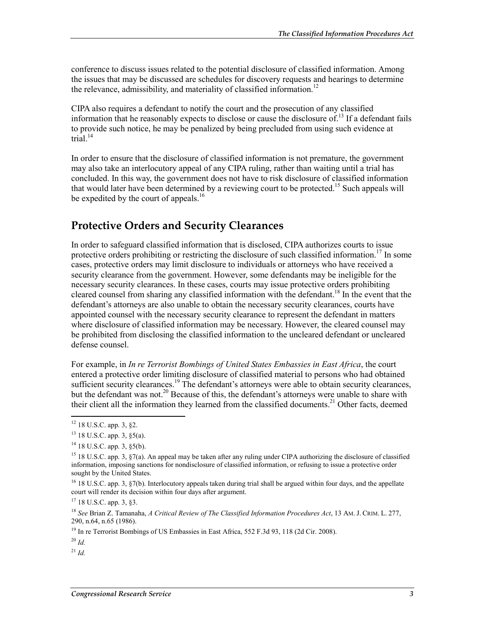conference to discuss issues related to the potential disclosure of classified information. Among the issues that may be discussed are schedules for discovery requests and hearings to determine the relevance, admissibility, and materiality of classified information.<sup>12</sup>

CIPA also requires a defendant to notify the court and the prosecution of any classified information that he reasonably expects to disclose or cause the disclosure of.<sup>13</sup> If a defendant fails to provide such notice, he may be penalized by being precluded from using such evidence at trial. $14$ 

In order to ensure that the disclosure of classified information is not premature, the government may also take an interlocutory appeal of any CIPA ruling, rather than waiting until a trial has concluded. In this way, the government does not have to risk disclosure of classified information that would later have been determined by a reviewing court to be protected.<sup>15</sup> Such appeals will be expedited by the court of appeals.<sup>16</sup>

### **Protective Orders and Security Clearances**

In order to safeguard classified information that is disclosed, CIPA authorizes courts to issue protective orders prohibiting or restricting the disclosure of such classified information.<sup>17</sup> In some cases, protective orders may limit disclosure to individuals or attorneys who have received a security clearance from the government. However, some defendants may be ineligible for the necessary security clearances. In these cases, courts may issue protective orders prohibiting cleared counsel from sharing any classified information with the defendant.<sup>18</sup> In the event that the defendant's attorneys are also unable to obtain the necessary security clearances, courts have appointed counsel with the necessary security clearance to represent the defendant in matters where disclosure of classified information may be necessary. However, the cleared counsel may be prohibited from disclosing the classified information to the uncleared defendant or uncleared defense counsel.

For example, in *In re Terrorist Bombings of United States Embassies in East Africa*, the court entered a protective order limiting disclosure of classified material to persons who had obtained sufficient security clearances.<sup>19</sup> The defendant's attorneys were able to obtain security clearances, but the defendant was not.<sup>20</sup> Because of this, the defendant's attorneys were unable to share with their client all the information they learned from the classified documents.<sup>21</sup> Other facts, deemed

<u>.</u>

 $^{21}$  *Id.* 

 $12$  18 U.S.C. app. 3, §2.

<sup>13 18</sup> U.S.C. app. 3, §5(a).

<sup>&</sup>lt;sup>14</sup> 18 U.S.C. app. 3, §5(b).

<sup>&</sup>lt;sup>15</sup> 18 U.S.C. app. 3,  $\S7(a)$ . An appeal may be taken after any ruling under CIPA authorizing the disclosure of classified information, imposing sanctions for nondisclosure of classified information, or refusing to issue a protective order sought by the United States.

<sup>&</sup>lt;sup>16</sup> 18 U.S.C. app. 3, §7(b). Interlocutory appeals taken during trial shall be argued within four days, and the appellate court will render its decision within four days after argument.

 $17$  18 U.S.C. app. 3, §3.

<sup>18</sup> *See* Brian Z. Tamanaha, *A Critical Review of The Classified Information Procedures Act*, 13 AM. J. CRIM. L. 277, 290, n.64, n.65 (1986).

<sup>&</sup>lt;sup>19</sup> In re Terrorist Bombings of US Embassies in East Africa, 552 F.3d 93, 118 (2d Cir. 2008).

<sup>20</sup> *Id.*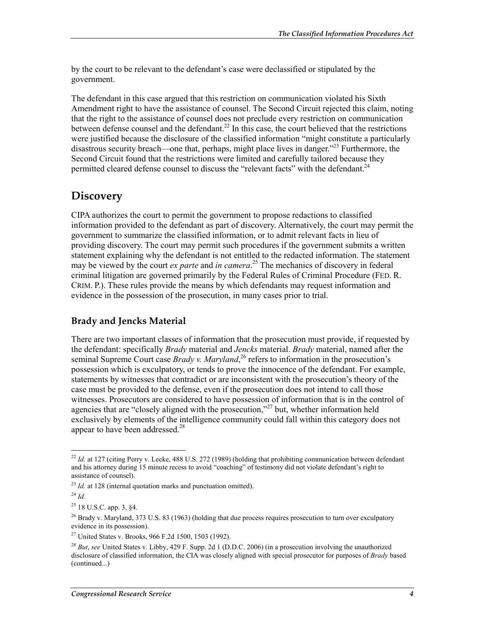by the court to be relevant to the defendant's case were declassified or stipulated by the government.

The defendant in this case argued that this restriction on communication violated his Sixth Amendment right to have the assistance of counsel. The Second Circuit rejected this claim, noting that the right to the assistance of counsel does not preclude every restriction on communication between defense counsel and the defendant.<sup>22</sup> In this case, the court believed that the restrictions were justified because the disclosure of the classified information "might constitute a particularly disastrous security breach—one that, perhaps, might place lives in danger.<sup>223</sup> Furthermore, the Second Circuit found that the restrictions were limited and carefully tailored because they permitted cleared defense counsel to discuss the "relevant facts" with the defendant.<sup>24</sup>

### **Discovery**

CIPA authorizes the court to permit the government to propose redactions to classified information provided to the defendant as part of discovery. Alternatively, the court may permit the government to summarize the classified information, or to admit relevant facts in lieu of providing discovery. The court may permit such procedures if the government submits a written statement explaining why the defendant is not entitled to the redacted information. The statement may be viewed by the court *ex parte* and *in camera*. 25 The mechanics of discovery in federal criminal litigation are governed primarily by the Federal Rules of Criminal Procedure (FED. R. CRIM. P.). These rules provide the means by which defendants may request information and evidence in the possession of the prosecution, in many cases prior to trial.

#### **Brady and Jencks Material**

There are two important classes of information that the prosecution must provide, if requested by the defendant: specifically *Brady* material and *Jencks* material. *Brady* material, named after the seminal Supreme Court case *Brady v. Maryland*<sup>26</sup> refers to information in the prosecution's possession which is exculpatory, or tends to prove the innocence of the defendant. For example, statements by witnesses that contradict or are inconsistent with the prosecution's theory of the case must be provided to the defense, even if the prosecution does not intend to call those witnesses. Prosecutors are considered to have possession of information that is in the control of agencies that are "closely aligned with the prosecution,"<sup>27</sup> but, whether information held exclusively by elements of the intelligence community could fall within this category does not appear to have been addressed.<sup>28</sup>

<sup>&</sup>lt;u>.</u>  $^{22}$  *Id.* at 127 (citing Perry v. Leeke, 488 U.S. 272 (1989) (holding that prohibiting communication between defendant and his attorney during 15 minute recess to avoid "coaching" of testimony did not violate defendant's right to assistance of counsel).

<sup>&</sup>lt;sup>23</sup> *Id.* at 128 (internal quotation marks and punctuation omitted).

 $^{24}$  *Id.* 

<sup>25 18</sup> U.S.C. app. 3, §4.

<sup>&</sup>lt;sup>26</sup> Brady v. Maryland, 373 U.S. 83 (1963) (holding that due process requires prosecution to turn over exculpatory evidence in its possession).

<sup>27</sup> United States v. Brooks, 966 F.2d 1500, 1503 (1992).

<sup>28</sup> *But*, *see* United States v. Libby, 429 F. Supp. 2d 1 (D.D.C. 2006) (in a prosecution involving the unauthorized disclosure of classified information, the CIA was closely aligned with special prosecutor for purposes of *Brady* based (continued...)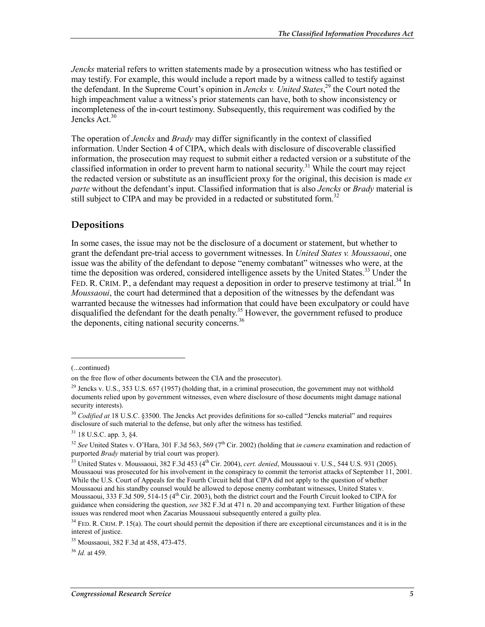*Jencks* material refers to written statements made by a prosecution witness who has testified or may testify. For example, this would include a report made by a witness called to testify against the defendant. In the Supreme Court's opinion in *Jencks v. United States*, 29 the Court noted the high impeachment value a witness's prior statements can have, both to show inconsistency or incompleteness of the in-court testimony. Subsequently, this requirement was codified by the Jencks Act.<sup>30</sup>

The operation of *Jencks* and *Brady* may differ significantly in the context of classified information. Under Section 4 of CIPA, which deals with disclosure of discoverable classified information, the prosecution may request to submit either a redacted version or a substitute of the classified information in order to prevent harm to national security.<sup>31</sup> While the court may reject the redacted version or substitute as an insufficient proxy for the original, this decision is made *ex parte* without the defendant's input. Classified information that is also *Jencks* or *Brady* material is still subject to CIPA and may be provided in a redacted or substituted form.<sup>32</sup>

#### **Depositions**

In some cases, the issue may not be the disclosure of a document or statement, but whether to grant the defendant pre-trial access to government witnesses. In *United States v. Moussaoui*, one issue was the ability of the defendant to depose "enemy combatant" witnesses who were, at the time the deposition was ordered, considered intelligence assets by the United States.<sup>33</sup> Under the FED. R. CRIM. P., a defendant may request a deposition in order to preserve testimony at trial.<sup>34</sup> In *Moussaoui*, the court had determined that a deposition of the witnesses by the defendant was warranted because the witnesses had information that could have been exculpatory or could have disqualified the defendant for the death penalty.<sup>35</sup> However, the government refused to produce the deponents, citing national security concerns. $36$ 

<sup>(...</sup>continued)

on the free flow of other documents between the CIA and the prosecutor).

 $^{29}$  Jencks v. U.S., 353 U.S. 657 (1957) (holding that, in a criminal prosecution, the government may not withhold documents relied upon by government witnesses, even where disclosure of those documents might damage national security interests).

<sup>&</sup>lt;sup>30</sup> *Codified at* 18 U.S.C. §3500. The Jencks Act provides definitions for so-called "Jencks material" and requires disclosure of such material to the defense, but only after the witness has testified.

<sup>31 18</sup> U.S.C. app. 3, §4.

<sup>&</sup>lt;sup>32</sup> *See* United States v. O'Hara, 301 F.3d 563, 569 (7<sup>th</sup> Cir. 2002) (holding that *in camera* examination and redaction of purported *Brady* material by trial court was proper).

<sup>&</sup>lt;sup>33</sup> United States v. Moussaoui, 382 F.3d 453 (4<sup>th</sup> Cir. 2004), *cert. denied*, Moussaoui v. U.S., 544 U.S. 931 (2005). Moussaoui was prosecuted for his involvement in the conspiracy to commit the terrorist attacks of September 11, 2001. While the U.S. Court of Appeals for the Fourth Circuit held that CIPA did not apply to the question of whether Moussaoui and his standby counsel would be allowed to depose enemy combatant witnesses, United States v. Moussaoui, 333 F.3d 509, 514-15 (4<sup>th</sup> Cir. 2003), both the district court and the Fourth Circuit looked to CIPA for guidance when considering the question, *see* 382 F.3d at 471 n. 20 and accompanying text. Further litigation of these issues was rendered moot when Zacarias Moussaoui subsequently entered a guilty plea.

 $34$  FED. R. CRIM. P. 15(a). The court should permit the deposition if there are exceptional circumstances and it is in the interest of justice.

<sup>35</sup> Moussaoui, 382 F.3d at 458, 473-475.

<sup>36</sup> *Id.* at 459.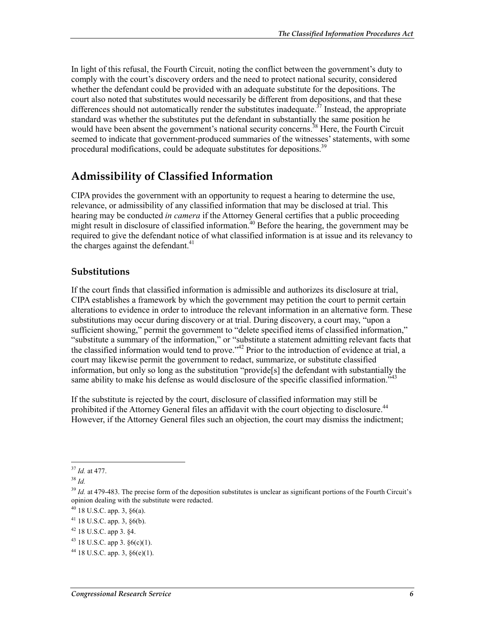In light of this refusal, the Fourth Circuit, noting the conflict between the government's duty to comply with the court's discovery orders and the need to protect national security, considered whether the defendant could be provided with an adequate substitute for the depositions. The court also noted that substitutes would necessarily be different from depositions, and that these differences should not automatically render the substitutes inadequate.<sup> $37$ </sup> Instead, the appropriate standard was whether the substitutes put the defendant in substantially the same position he would have been absent the government's national security concerns.<sup>38</sup> Here, the Fourth Circuit seemed to indicate that government-produced summaries of the witnesses' statements, with some procedural modifications, could be adequate substitutes for depositions.<sup>39</sup>

### **Admissibility of Classified Information**

CIPA provides the government with an opportunity to request a hearing to determine the use, relevance, or admissibility of any classified information that may be disclosed at trial. This hearing may be conducted *in camera* if the Attorney General certifies that a public proceeding might result in disclosure of classified information.<sup>40</sup> Before the hearing, the government may be required to give the defendant notice of what classified information is at issue and its relevancy to the charges against the defendant.<sup>41</sup>

#### **Substitutions**

If the court finds that classified information is admissible and authorizes its disclosure at trial, CIPA establishes a framework by which the government may petition the court to permit certain alterations to evidence in order to introduce the relevant information in an alternative form. These substitutions may occur during discovery or at trial. During discovery, a court may, "upon a sufficient showing," permit the government to "delete specified items of classified information," "substitute a summary of the information," or "substitute a statement admitting relevant facts that the classified information would tend to prove."<sup>42</sup> Prior to the introduction of evidence at trial, a court may likewise permit the government to redact, summarize, or substitute classified information, but only so long as the substitution "provide[s] the defendant with substantially the same ability to make his defense as would disclosure of the specific classified information.<sup>543</sup>

If the substitute is rejected by the court, disclosure of classified information may still be prohibited if the Attorney General files an affidavit with the court objecting to disclosure.<sup>44</sup> However, if the Attorney General files such an objection, the court may dismiss the indictment;

<sup>1</sup> <sup>37</sup> *Id.* at 477.

<sup>38</sup> *Id.*

<sup>&</sup>lt;sup>39</sup> *Id.* at 479-483. The precise form of the deposition substitutes is unclear as significant portions of the Fourth Circuit's opinion dealing with the substitute were redacted.

 $40$  18 U.S.C. app. 3,  $\S6(a)$ .

<sup>41 18</sup> U.S.C. app. 3, §6(b).

<sup>42 18</sup> U.S.C. app 3. §4.

 $43$  18 U.S.C. app 3.  $\delta$ 6(c)(1).

 $44$  18 U.S.C. app. 3,  $§6(e)(1)$ .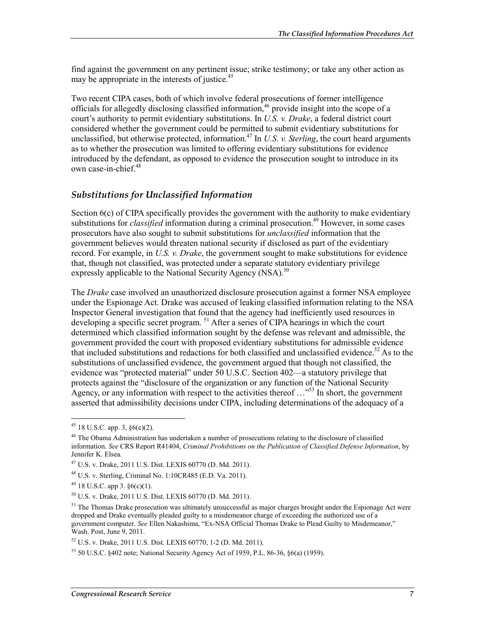find against the government on any pertinent issue; strike testimony; or take any other action as may be appropriate in the interests of justice.<sup>45</sup>

Two recent CIPA cases, both of which involve federal prosecutions of former intelligence officials for allegedly disclosing classified information,46 provide insight into the scope of a court's authority to permit evidentiary substitutions. In *U.S. v. Drake*, a federal district court considered whether the government could be permitted to submit evidentiary substitutions for unclassified, but otherwise protected, information.<sup>47</sup> In *U.S. v. Sterling*, the court heard arguments as to whether the prosecution was limited to offering evidentiary substitutions for evidence introduced by the defendant, as opposed to evidence the prosecution sought to introduce in its own case-in-chief.<sup>48</sup>

#### *Substitutions for Unclassified Information*

Section 6(c) of CIPA specifically provides the government with the authority to make evidentiary substitutions for *classified* information during a criminal prosecution.<sup>49</sup> However, in some cases prosecutors have also sought to submit substitutions for *unclassified* information that the government believes would threaten national security if disclosed as part of the evidentiary record. For example, in *U.S. v. Drake*, the government sought to make substitutions for evidence that, though not classified, was protected under a separate statutory evidentiary privilege expressly applicable to the National Security Agency (NSA).<sup>50</sup>

The *Drake* case involved an unauthorized disclosure prosecution against a former NSA employee under the Espionage Act. Drake was accused of leaking classified information relating to the NSA Inspector General investigation that found that the agency had inefficiently used resources in developing a specific secret program. <sup>51</sup> After a series of CIPA hearings in which the court determined which classified information sought by the defense was relevant and admissible, the government provided the court with proposed evidentiary substitutions for admissible evidence that included substitutions and redactions for both classified and unclassified evidence.<sup>52</sup> As to the substitutions of unclassified evidence, the government argued that though not classified, the evidence was "protected material" under 50 U.S.C. Section 402—a statutory privilege that protects against the "disclosure of the organization or any function of the National Security Agency, or any information with respect to the activities thereof  $\ldots$ <sup>553</sup> In short, the government asserted that admissibility decisions under CIPA, including determinations of the adequacy of a

<u>.</u>

 $45$  18 U.S.C. app. 3,  $§6(e)(2)$ .

<sup>&</sup>lt;sup>46</sup> The Obama Administration has undertaken a number of prosecutions relating to the disclosure of classified information. *See* CRS Report R41404, *Criminal Prohibitions on the Publication of Classified Defense Information*, by Jennifer K. Elsea.

<sup>47</sup> U.S. v. Drake, 2011 U.S. Dist. LEXIS 60770 (D. Md. 2011).

<sup>48</sup> U.S. v. Sterling, Criminal No. 1:10CR485 (E.D. Va. 2011).

 $49$  18 U.S.C. app 3.  $\S6(c)(1)$ .

<sup>50</sup> U.S. v. Drake, 2011 U.S. Dist. LEXIS 60770 (D. Md. 2011).

 $<sup>51</sup>$  The Thomas Drake prosecution was ultimately unsuccessful as major charges brought under the Espionage Act were</sup> dropped and Drake eventually pleaded guilty to a misdemeanor charge of exceeding the authorized use of a government computer. *See* Ellen Nakashima, "Ex-NSA Official Thomas Drake to Plead Guilty to Misdemeanor," Wash. Post, June 9, 2011.

<sup>52</sup> U.S. v. Drake, 2011 U.S. Dist. LEXIS 60770, 1-2 (D. Md. 2011).

<sup>53 50</sup> U.S.C. §402 note; National Security Agency Act of 1959, P.L. 86-36, §6(a) (1959).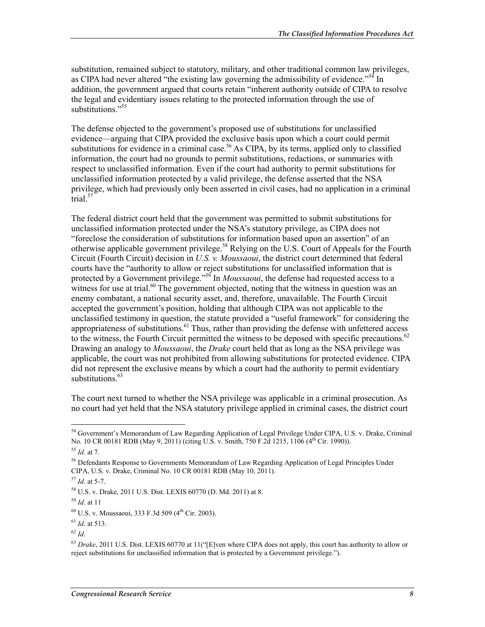substitution, remained subject to statutory, military, and other traditional common law privileges, as CIPA had never altered "the existing law governing the admissibility of evidence."<sup>54</sup> In addition, the government argued that courts retain "inherent authority outside of CIPA to resolve the legal and evidentiary issues relating to the protected information through the use of substitutions<sup>"55</sup>

The defense objected to the government's proposed use of substitutions for unclassified evidence—arguing that CIPA provided the exclusive basis upon which a court could permit substitutions for evidence in a criminal case.<sup>56</sup> As CIPA, by its terms, applied only to classified information, the court had no grounds to permit substitutions, redactions, or summaries with respect to unclassified information. Even if the court had authority to permit substitutions for unclassified information protected by a valid privilege, the defense asserted that the NSA privilege, which had previously only been asserted in civil cases, had no application in a criminal  $\arctan 57$ 

The federal district court held that the government was permitted to submit substitutions for unclassified information protected under the NSA's statutory privilege, as CIPA does not "foreclose the consideration of substitutions for information based upon an assertion" of an otherwise applicable government privilege.<sup>58</sup> Relying on the U.S. Court of Appeals for the Fourth Circuit (Fourth Circuit) decision in *U.S. v. Moussaoui*, the district court determined that federal courts have the "authority to allow or reject substitutions for unclassified information that is protected by a Government privilege."<sup>59</sup> In *Moussaoui*, the defense had requested access to a witness for use at trial.<sup>60</sup> The government objected, noting that the witness in question was an enemy combatant, a national security asset, and, therefore, unavailable. The Fourth Circuit accepted the government's position, holding that although CIPA was not applicable to the unclassified testimony in question, the statute provided a "useful framework" for considering the appropriateness of substitutions. $61$  Thus, rather than providing the defense with unfettered access to the witness, the Fourth Circuit permitted the witness to be deposed with specific precautions.<sup>62</sup> Drawing an analogy to *Moussaoui*, the *Drake* court held that as long as the NSA privilege was applicable, the court was not prohibited from allowing substitutions for protected evidence. CIPA did not represent the exclusive means by which a court had the authority to permit evidentiary substitutions.<sup>63</sup>

The court next turned to whether the NSA privilege was applicable in a criminal prosecution. As no court had yet held that the NSA statutory privilege applied in criminal cases, the district court

<u>.</u>

<sup>&</sup>lt;sup>54</sup> Government's Memorandum of Law Regarding Application of Legal Privilege Under CIPA, U.S. v. Drake, Criminal No. 10 CR 00181 RDB (May 9, 2011) (citing U.S. v. Smith, 750 F.2d 1215, 1106 (4<sup>th</sup> Cir. 1990)).

<sup>55</sup> *Id*. at 7.

<sup>56</sup> Defendants Response to Governments Memorandum of Law Regarding Application of Legal Principles Under CIPA, U.S. v. Drake, Criminal No. 10 CR 00181 RDB (May 10, 2011).

<sup>57</sup> *Id*. at 5-7.

<sup>58</sup> U.S. v. Drake, 2011 U.S. Dist. LEXIS 60770 (D. Md. 2011) at 8.

<sup>59</sup> *Id*. at 11

 $60$  U.S. v. Moussaoui, 333 F.3d 509 (4<sup>th</sup> Cir. 2003).

<sup>61</sup> *Id*. at 513.

<sup>62</sup> *Id*.

<sup>63</sup> *Drake*, 2011 U.S. Dist. LEXIS 60770 at 11("[E]ven where CIPA does not apply, this court has authority to allow or reject substitutions for unclassified information that is protected by a Government privilege.").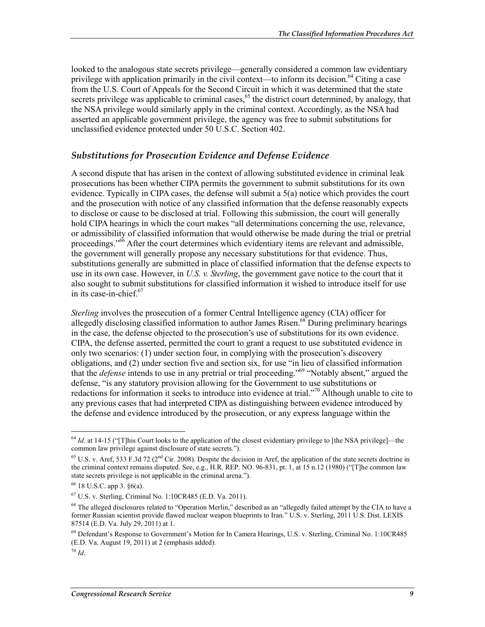looked to the analogous state secrets privilege—generally considered a common law evidentiary privilege with application primarily in the civil context—to inform its decision.<sup>64</sup> Citing a case from the U.S. Court of Appeals for the Second Circuit in which it was determined that the state secrets privilege was applicable to criminal cases,<sup>65</sup> the district court determined, by analogy, that the NSA privilege would similarly apply in the criminal context. Accordingly, as the NSA had asserted an applicable government privilege, the agency was free to submit substitutions for unclassified evidence protected under 50 U.S.C. Section 402.

#### *Substitutions for Prosecution Evidence and Defense Evidence*

A second dispute that has arisen in the context of allowing substituted evidence in criminal leak prosecutions has been whether CIPA permits the government to submit substitutions for its own evidence. Typically in CIPA cases, the defense will submit a 5(a) notice which provides the court and the prosecution with notice of any classified information that the defense reasonably expects to disclose or cause to be disclosed at trial. Following this submission, the court will generally hold CIPA hearings in which the court makes "all determinations concerning the use, relevance, or admissibility of classified information that would otherwise be made during the trial or pretrial proceedings."<sup>66</sup> After the court determines which evidentiary items are relevant and admissible, the government will generally propose any necessary substitutions for that evidence. Thus, substitutions generally are submitted in place of classified information that the defense expects to use in its own case. However, in *U.S. v. Sterling*, the government gave notice to the court that it also sought to submit substitutions for classified information it wished to introduce itself for use in its case-in-chief. $67$ 

*Sterling* involves the prosecution of a former Central Intelligence agency (CIA) officer for allegedly disclosing classified information to author James Risen.<sup>68</sup> During preliminary hearings in the case, the defense objected to the prosecution's use of substitutions for its own evidence. CIPA, the defense asserted, permitted the court to grant a request to use substituted evidence in only two scenarios: (1) under section four, in complying with the prosecution's discovery obligations, and (2) under section five and section six, for use "in lieu of classified information that the *defense* intends to use in any pretrial or trial proceeding."69 "Notably absent," argued the defense, "is any statutory provision allowing for the Government to use substitutions or redactions for information it seeks to introduce into evidence at trial."70 Although unable to cite to any previous cases that had interpreted CIPA as distinguishing between evidence introduced by the defense and evidence introduced by the prosecution, or any express language within the

<u>.</u>

<sup>&</sup>lt;sup>64</sup> *Id.* at 14-15 ("[T]his Court looks to the application of the closest evidentiary privilege to [the NSA privilege]—the common law privilege against disclosure of state secrets.").

<sup>&</sup>lt;sup>65</sup> U.S. v. Aref, 533 F.3d 72 (2<sup>nd</sup> Cir. 2008). Despite the decision in Aref, the application of the state secrets doctrine in the criminal context remains disputed. See, e.g., H.R. REP. NO. 96-831, pt. 1, at 15 n.12 (1980) ("[T]he common law state secrets privilege is not applicable in the criminal arena.").

<sup>66 18</sup> U.S.C. app 3. §6(a).

 $^{67}$  U.S. v. Sterling, Criminal No. 1:10CR485 (E.D. Va. 2011).

 $68$  The alleged disclosures related to "Operation Merlin," described as an "allegedly failed attempt by the CIA to have a former Russian scientist provide flawed nuclear weapon blueprints to Iran." U.S. v. Sterling, 2011 U.S. Dist. LEXIS 87514 (E.D. Va. July 29, 2011) at 1.

<sup>69</sup> Defendant's Response to Government's Motion for In Camera Hearings, U.S. v. Sterling, Criminal No. 1:10CR485  $(E.D. Va. August 19, 2011)$  at 2 (emphasis added).

 $70$  *Id*.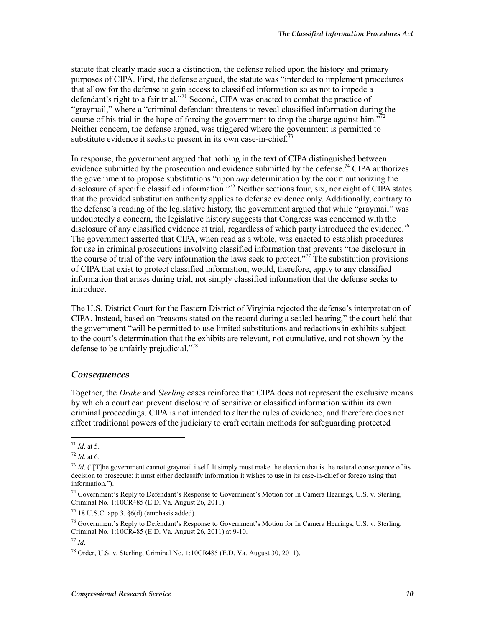statute that clearly made such a distinction, the defense relied upon the history and primary purposes of CIPA. First, the defense argued, the statute was "intended to implement procedures that allow for the defense to gain access to classified information so as not to impede a defendant's right to a fair trial."<sup>71</sup> Second, CIPA was enacted to combat the practice of "graymail," where a "criminal defendant threatens to reveal classified information during the course of his trial in the hope of forcing the government to drop the charge against him."<sup>7</sup> Neither concern, the defense argued, was triggered where the government is permitted to substitute evidence it seeks to present in its own case-in-chief.<sup>73</sup>

In response, the government argued that nothing in the text of CIPA distinguished between evidence submitted by the prosecution and evidence submitted by the defense.<sup>74</sup> CIPA authorizes the government to propose substitutions "upon *any* determination by the court authorizing the disclosure of specific classified information."<sup>75</sup> Neither sections four, six, nor eight of CIPA states that the provided substitution authority applies to defense evidence only. Additionally, contrary to the defense's reading of the legislative history, the government argued that while "graymail" was undoubtedly a concern, the legislative history suggests that Congress was concerned with the disclosure of any classified evidence at trial, regardless of which party introduced the evidence.<sup>76</sup> The government asserted that CIPA, when read as a whole, was enacted to establish procedures for use in criminal prosecutions involving classified information that prevents "the disclosure in the course of trial of the very information the laws seek to protect."<sup>77</sup> The substitution provisions of CIPA that exist to protect classified information, would, therefore, apply to any classified information that arises during trial, not simply classified information that the defense seeks to introduce.

The U.S. District Court for the Eastern District of Virginia rejected the defense's interpretation of CIPA. Instead, based on "reasons stated on the record during a sealed hearing," the court held that the government "will be permitted to use limited substitutions and redactions in exhibits subject to the court's determination that the exhibits are relevant, not cumulative, and not shown by the defense to be unfairly prejudicial."<sup>78</sup>

#### *Consequences*

Together, the *Drake* and *Sterling* cases reinforce that CIPA does not represent the exclusive means by which a court can prevent disclosure of sensitive or classified information within its own criminal proceedings. CIPA is not intended to alter the rules of evidence, and therefore does not affect traditional powers of the judiciary to craft certain methods for safeguarding protected

<sup>71</sup> *Id*. at 5.

<sup>72</sup> *Id*. at 6.

 $^{73}$  *Id.* ("[T]he government cannot graymail itself. It simply must make the election that is the natural consequence of its decision to prosecute: it must either declassify information it wishes to use in its case-in-chief or forego using that information.").

<sup>&</sup>lt;sup>74</sup> Government's Reply to Defendant's Response to Government's Motion for In Camera Hearings, U.S. v. Sterling, Criminal No. 1:10CR485 (E.D. Va. August 26, 2011).

 $75$  18 U.S.C. app 3.  $\S6(d)$  (emphasis added).

<sup>&</sup>lt;sup>76</sup> Government's Reply to Defendant's Response to Government's Motion for In Camera Hearings, U.S. v. Sterling, Criminal No. 1:10CR485 (E.D. Va. August 26, 2011) at 9-10.

<sup>77</sup> *Id*.

<sup>78</sup> Order, U.S. v. Sterling, Criminal No. 1:10CR485 (E.D. Va. August 30, 2011).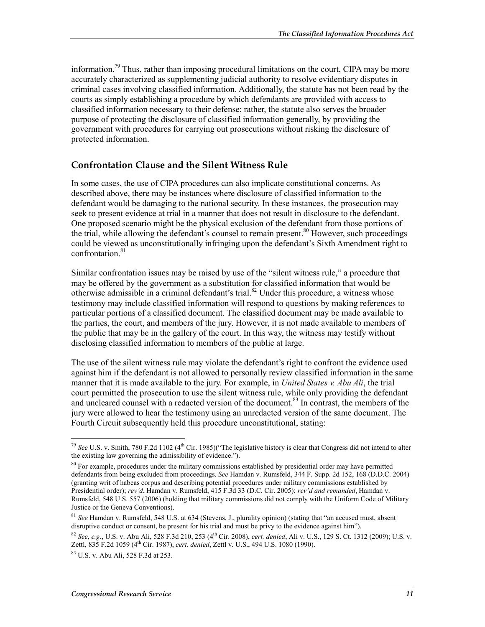information.<sup>79</sup> Thus, rather than imposing procedural limitations on the court, CIPA may be more accurately characterized as supplementing judicial authority to resolve evidentiary disputes in criminal cases involving classified information. Additionally, the statute has not been read by the courts as simply establishing a procedure by which defendants are provided with access to classified information necessary to their defense; rather, the statute also serves the broader purpose of protecting the disclosure of classified information generally, by providing the government with procedures for carrying out prosecutions without risking the disclosure of protected information.

#### **Confrontation Clause and the Silent Witness Rule**

In some cases, the use of CIPA procedures can also implicate constitutional concerns. As described above, there may be instances where disclosure of classified information to the defendant would be damaging to the national security. In these instances, the prosecution may seek to present evidence at trial in a manner that does not result in disclosure to the defendant. One proposed scenario might be the physical exclusion of the defendant from those portions of the trial, while allowing the defendant's counsel to remain present.<sup>80</sup> However, such proceedings could be viewed as unconstitutionally infringing upon the defendant's Sixth Amendment right to confrontation<sup>81</sup>

Similar confrontation issues may be raised by use of the "silent witness rule," a procedure that may be offered by the government as a substitution for classified information that would be otherwise admissible in a criminal defendant's trial.<sup>82</sup> Under this procedure, a witness whose testimony may include classified information will respond to questions by making references to particular portions of a classified document. The classified document may be made available to the parties, the court, and members of the jury. However, it is not made available to members of the public that may be in the gallery of the court. In this way, the witness may testify without disclosing classified information to members of the public at large.

The use of the silent witness rule may violate the defendant's right to confront the evidence used against him if the defendant is not allowed to personally review classified information in the same manner that it is made available to the jury. For example, in *United States v. Abu Ali*, the trial court permitted the prosecution to use the silent witness rule, while only providing the defendant and uncleared counsel with a redacted version of the document.<sup>83</sup> In contrast, the members of the jury were allowed to hear the testimony using an unredacted version of the same document. The Fourth Circuit subsequently held this procedure unconstitutional, stating:

<sup>&</sup>lt;u>.</u> <sup>79</sup> See U.S. v. Smith, 780 F.2d 1102 (4<sup>th</sup> Cir. 1985)("The legislative history is clear that Congress did not intend to alter the existing law governing the admissibility of evidence.").

 $80$  For example, procedures under the military commissions established by presidential order may have permitted defendants from being excluded from proceedings. *See* Hamdan v. Rumsfeld, 344 F. Supp. 2d 152, 168 (D.D.C. 2004) (granting writ of habeas corpus and describing potential procedures under military commissions established by Presidential order); *rev'd*, Hamdan v. Rumsfeld, 415 F.3d 33 (D.C. Cir. 2005); *rev'd and remanded*, Hamdan v. Rumsfeld, 548 U.S. 557 (2006) (holding that military commissions did not comply with the Uniform Code of Military Justice or the Geneva Conventions).

<sup>81</sup> *See* Hamdan v. Rumsfeld, 548 U.S. at 634 (Stevens, J., plurality opinion) (stating that "an accused must, absent disruptive conduct or consent, be present for his trial and must be privy to the evidence against him").

<sup>82</sup> *See*, *e.g.*, U.S. v. Abu Ali, 528 F.3d 210, 253 (4th Cir. 2008), *cert. denied*, Ali v. U.S., 129 S. Ct. 1312 (2009); U.S. v. Zettl, 835 F.2d 1059 (4th Cir. 1987), *cert. denied*, Zettl v. U.S., 494 U.S. 1080 (1990).

<sup>83</sup> U.S. v. Abu Ali, 528 F.3d at 253.